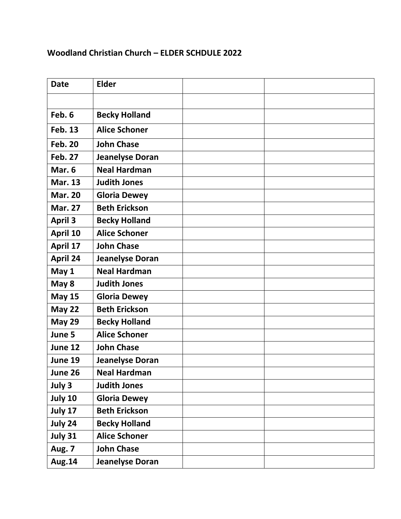## **Woodland Christian Church – ELDER SCHDULE 2022**

| <b>Date</b>     | <b>Elder</b>           |  |
|-----------------|------------------------|--|
|                 |                        |  |
| Feb. 6          | <b>Becky Holland</b>   |  |
| <b>Feb. 13</b>  | <b>Alice Schoner</b>   |  |
| <b>Feb. 20</b>  | <b>John Chase</b>      |  |
| <b>Feb. 27</b>  | <b>Jeanelyse Doran</b> |  |
| Mar. 6          | <b>Neal Hardman</b>    |  |
| <b>Mar. 13</b>  | <b>Judith Jones</b>    |  |
| <b>Mar. 20</b>  | <b>Gloria Dewey</b>    |  |
| <b>Mar. 27</b>  | <b>Beth Erickson</b>   |  |
| <b>April 3</b>  | <b>Becky Holland</b>   |  |
| April 10        | <b>Alice Schoner</b>   |  |
| April 17        | <b>John Chase</b>      |  |
| <b>April 24</b> | <b>Jeanelyse Doran</b> |  |
| May 1           | <b>Neal Hardman</b>    |  |
| May 8           | <b>Judith Jones</b>    |  |
| <b>May 15</b>   | <b>Gloria Dewey</b>    |  |
| <b>May 22</b>   | <b>Beth Erickson</b>   |  |
| <b>May 29</b>   | <b>Becky Holland</b>   |  |
| June 5          | <b>Alice Schoner</b>   |  |
| June 12         | <b>John Chase</b>      |  |
| June 19         | <b>Jeanelyse Doran</b> |  |
| June 26         | <b>Neal Hardman</b>    |  |
| July 3          | <b>Judith Jones</b>    |  |
| July 10         | <b>Gloria Dewey</b>    |  |
| July 17         | <b>Beth Erickson</b>   |  |
| July 24         | <b>Becky Holland</b>   |  |
| July 31         | <b>Alice Schoner</b>   |  |
| Aug. 7          | <b>John Chase</b>      |  |
| Aug.14          | <b>Jeanelyse Doran</b> |  |